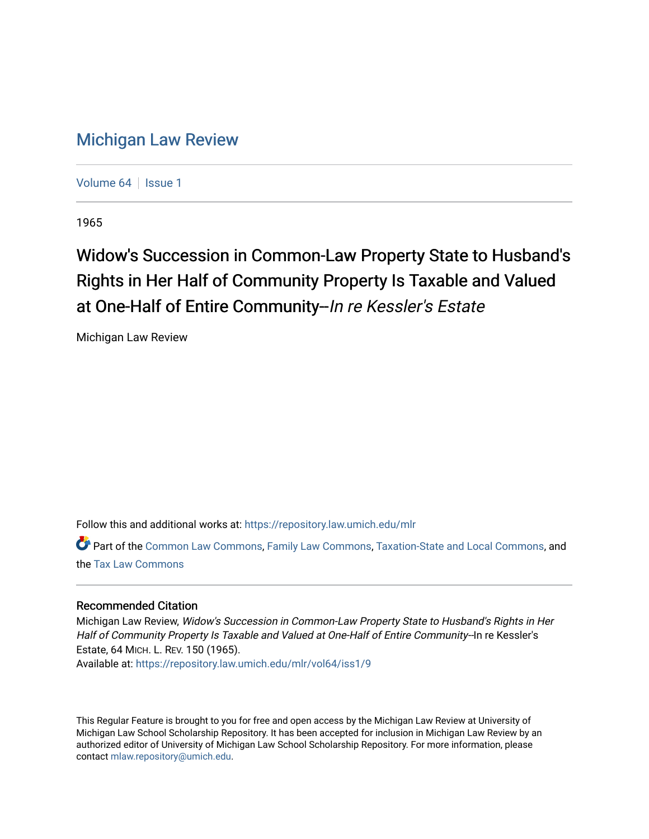## [Michigan Law Review](https://repository.law.umich.edu/mlr)

[Volume 64](https://repository.law.umich.edu/mlr/vol64) | [Issue 1](https://repository.law.umich.edu/mlr/vol64/iss1)

1965

## Widow's Succession in Common-Law Property State to Husband's Rights in Her Half of Community Property Is Taxable and Valued at One-Half of Entire Community-In re Kessler's Estate

Michigan Law Review

Follow this and additional works at: [https://repository.law.umich.edu/mlr](https://repository.law.umich.edu/mlr?utm_source=repository.law.umich.edu%2Fmlr%2Fvol64%2Fiss1%2F9&utm_medium=PDF&utm_campaign=PDFCoverPages) 

Part of the [Common Law Commons,](http://network.bepress.com/hgg/discipline/1120?utm_source=repository.law.umich.edu%2Fmlr%2Fvol64%2Fiss1%2F9&utm_medium=PDF&utm_campaign=PDFCoverPages) [Family Law Commons,](http://network.bepress.com/hgg/discipline/602?utm_source=repository.law.umich.edu%2Fmlr%2Fvol64%2Fiss1%2F9&utm_medium=PDF&utm_campaign=PDFCoverPages) [Taxation-State and Local Commons](http://network.bepress.com/hgg/discipline/882?utm_source=repository.law.umich.edu%2Fmlr%2Fvol64%2Fiss1%2F9&utm_medium=PDF&utm_campaign=PDFCoverPages), and the [Tax Law Commons](http://network.bepress.com/hgg/discipline/898?utm_source=repository.law.umich.edu%2Fmlr%2Fvol64%2Fiss1%2F9&utm_medium=PDF&utm_campaign=PDFCoverPages) 

## Recommended Citation

Michigan Law Review, Widow's Succession in Common-Law Property State to Husband's Rights in Her Half of Community Property Is Taxable and Valued at One-Half of Entire Community--In re Kessler's Estate, 64 MICH. L. REV. 150 (1965).

Available at: [https://repository.law.umich.edu/mlr/vol64/iss1/9](https://repository.law.umich.edu/mlr/vol64/iss1/9?utm_source=repository.law.umich.edu%2Fmlr%2Fvol64%2Fiss1%2F9&utm_medium=PDF&utm_campaign=PDFCoverPages)

This Regular Feature is brought to you for free and open access by the Michigan Law Review at University of Michigan Law School Scholarship Repository. It has been accepted for inclusion in Michigan Law Review by an authorized editor of University of Michigan Law School Scholarship Repository. For more information, please contact [mlaw.repository@umich.edu](mailto:mlaw.repository@umich.edu).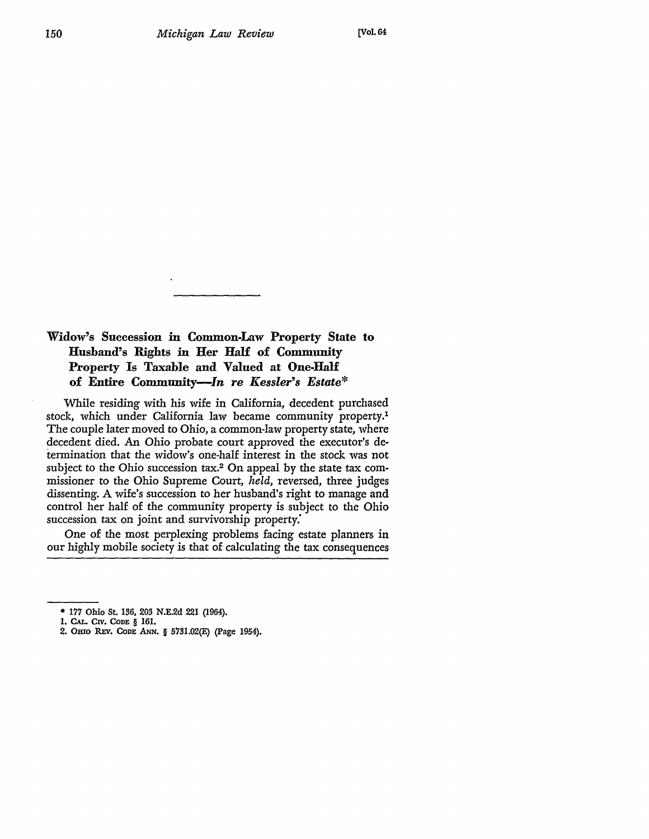## Widow's Succession in Common-Law Property *State* to **Husband's Rights** in **Her Hali of Community Property** Is **Taxable and Valued at One-Half of Entire** *Community-In re Kessler's Estate\**

While residing with his wife in California, decedent purchased stock, which under California law became community property.1 The couple later moved to Ohio, a common-law property state, where decedent died. An Ohio probate court approved the executor's determination that the widow's one-half interest in the stock was not subject to the Ohio succession tax.<sup>2</sup> On appeal by the state tax commissioner to the Ohio Supreme Court, *held,* reversed, three judges dissenting. A wife's succession to her husband's right to manage and control her half of the community property is subject to the Ohio succession tax on joint and survivorship property.'

One of the most perplexing problems facing estate planners in our highly mobile society is that of calculating the tax consequences

2. OHIO REv. CODE ANN. § 5781.02(E) (Page 1954).

<sup>• 177</sup> Ohio St. *136,* 203 N.E.2d 221 (1964).

<sup>1.</sup> CAL. CIV. CODE § 161.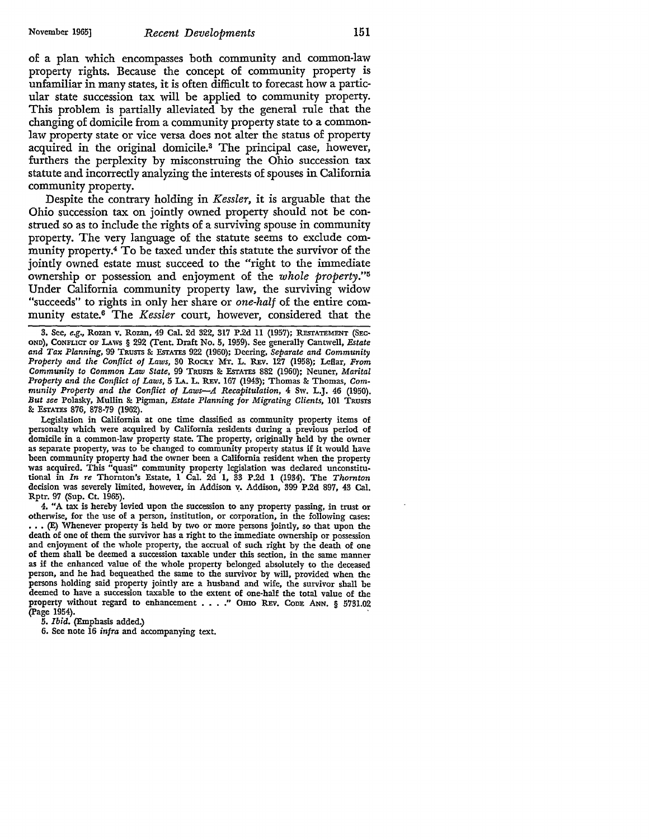of a plan which encompasses both community and common-law property rights. Because the concept of community property is unfamiliar in many states, it is often difficult to forecast how a particular state succession tax will be applied to community property. This problem is partially alleviated by the general rule that the changing of domicile from a community property state to a commonlaw property state or vice versa does not alter the status of property acquired in the original domicile.3 The principal case, however, furthers the perplexity by misconstruing the Ohio succession tax statute and incorrectly analyzing the interests of spouses in California community property.

Despite the contrary holding in *Kessler,* it is arguable that the Ohio succession tax on jointly owned property should not be construed so as to include the rights of a surviving spouse in community property. The very language of the statute seems to exclude community property.4 To be taxed under this statute the survivor of the jointly owned estate must succeed to the "right to the immediate ownership or possession and enjoyment of the *whole property.''*<sup>5</sup> Under California community property law, the surviving widow "succeeds" to rights in only her share or *one-half* of the entire community estate.6 The *Kessler* court, however, considered that the

Legislation in California at one time classified as community property items of personalty which were acquired by California residents during a previous period of domicile in a common-law property state. The property, originally held by the owner as separate property, was to be changed to community property status if it would have been community property had the owner been a California resident when the property was acquired. This "quasi" community property legislation was declared unconstitutional in *In re* Thornton's Estate, 1 Cal. 2d 1, 33 P .2d 1 (1934). The *Thornton*  decision was severely limited, however, in Addison v. Addison, 399 P.2d 897, 43 Cal. Rptr. 97 (Sup. Ct. 1965).

4. "A tax is hereby levied upon the succession to any property passing, in trust or othenvise, for the use of a person, institution, or corporation, in the following cases: ••• {E) Whenever property is held by two or more persons jointly, so that upon the death of one of them the survivor has a right to the immediate ownership or possession and enjoyment of the whole property, the accrual of such right by the death of one of them shall be deemed a succession taxable under this section, in the same manner as if the enhanced value of the whole property belonged absolutely to the deceased person, and he had bequeathed the same to the survivor by will, provided when the persons holding said property jointly are a husband and wife, the survivor shall be deemed to have a succession taxable to the extent of one-half the total value of the property without regard to enhancement . . . . " OHIO REV. CODE ANN. § 5731.02 (Page 1954).

5. *Ibid.* (Emphasis added.)

6. See note 16 *infra* and accompanying text.

<sup>3.</sup> See, *e.g.,* Rozan v. Rozan, 49 Cal. 2d 322, 317 P.2d 11 (1957); REsTATEMENT (SEC• OND), CoNFLicr OF LAws § 292 (Tent. Draft No. 5, 1959). See generally Cantwell, *Estate and Tax Planning,* 99 TRUSTS & ESTATES 922 (1960); Deering, *Separate and Community Property and the Conflict of Laws,* 30 RoCKY MT. L. REv. 127 (1958); Leflar, *From Community to Common Law State,* 99 TRUSTS & EsrATES 882 (1960); Neuner, *Marital Property and the Conflict of Laws,* 5 LA. L. REv. 167 (1943); Thomas & Thomas, *Community Property and the Conflict of Laws-A Recapitulation,* 4 Sw. L.J. 46 (1950). *But see* Polasky, Mullin & Pigman, *Estate Planning for Migrating Clients,* 101 TRUSTS & EsrATES 876, 878-79 (1962),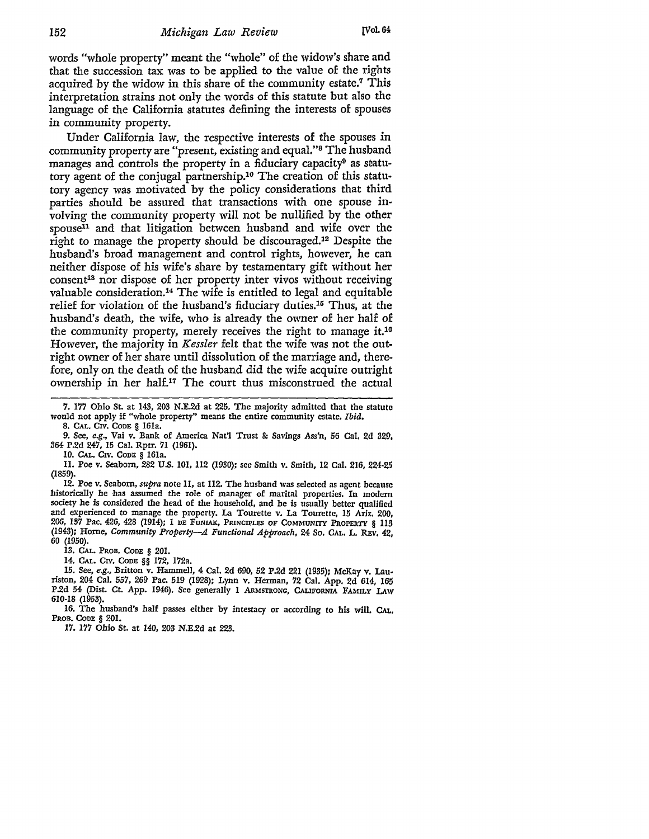words "whole property" meant the "whole" of the widow's share and that the succession tax was to be applied to the value of the rights acquired by the widow in this share of the community estate.<sup>7</sup> This interpretation strains not only the words of this statute but also the language of the California statutes defining the interests of spouses in community property.

Under California law, the respective interests of the spouses in community property are "present, existing and equal."8 The husband manages and controls the property in a fiduciary capacity<sup>0</sup> as statutory agent of the conjugal partnership.10 The creation of this statutory agency was motivated by the policy considerations that third parties should be assured that transactions with one spouse involving the community property will not be nullified by the other spouse<sup>11</sup> and that litigation between husband and wife over the right to manage the property should be discouraged.12 Despite the husband's broad management and control rights, however, he can neither dispose of his wife's share by testamentary gift without her consent<sup>13</sup> nor dispose of her property inter vivos without receiving valuable consideration.14 The wife is entitled to legal and equitable relief for violation of the husband's fiduciary duties.<sup>16</sup> Thus, at the husband's death, the wife, who is already the owner of her half of the community property, merely receives the right to manage it.10 However, the majority in *Kessler* felt that the wife was not the outright owner of her share until dissolution of the marriage and, therefore, only on the death of the husband did the wife acquire outright ownership in her half.<sup>17</sup> The court thus misconstrued the actual

7. 177 Ohio St. at 143, 203 N.E.2d at 225. The majority admitted that the statuto would not apply if "whole property" means the entire community estate. *Ibid.* 

8. CAL. CIV. CODE§ 161a.

9. See, *e.g.,* Vai v. Bank of America Nat'l Trust & Savings Ass'n, 56 Cal. 2d 329, 364 P.2d 247, 15 Cal. Rptr. *71* (1961).

IO. CAL. CIV. CODE § 161a.

11. Poe v. Seaborn, 282 U.S. 101, 112 (1930); see Smith v. Smith, 12 Cal. 216, 224•25 (1859).

12. Poe v. Seaborn, *supra* note 11, at 112. The husband was selected as agent because historically he has assumed the role of manager of marital properties. In modern society he is considered the head of the household, and he is usually better qualified and experienced to manage the property. La Tourette v. La Tourette, 15 Ariz. 200, 206, 137 Pac. 426, 428 (1914); 1 DE FUNIAK, PRINCIPLES OF COMMUNITY PROPERTY § 113 (1943); Home, *Community Property-A Functional Approach,* 24 So. CAL, L. REv, 42, 60 (1950).

13. CAL. PROB. CODE § 201.

14. CAL. CIV. CoDE §§ 172, 172a.

15. See, *e.g.,* Britton v. Hammell, 4 Cal. 2d 690, 52 P.2d 221 (1935); McKay v. Lau• riston, 204 Cal. 557, 269 Pac. 519 (1928); Lynn v. Herman, 72 Cal. App. 2d 614, 165 P.2d 54 (Dist. Ct. App. 1946). See generally 1 ARMSTRONG, CALIFORNIA FAMILY LAW 610-18 (1953).

16. The husband's half passes either by intestacy or according to his will. CAL. PROB. CODE § 201.

17. 177 Ohio St. at 140, 203 N.E.2d at 223.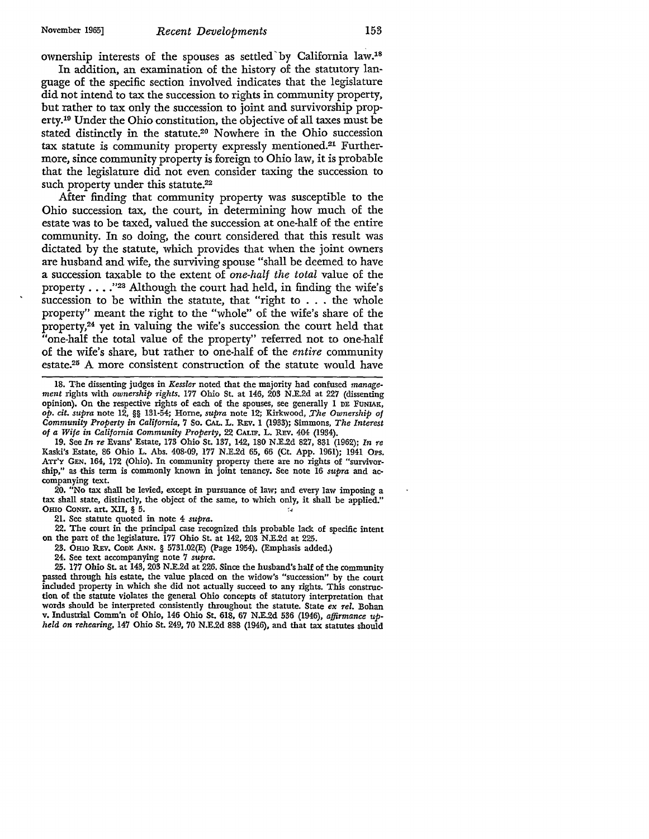ownership interests of the spouses as settled'by California law.18

In addition, an examination of the history of the statutory language of the specific section involved indicates that the legislature did not intend to tax the succession to rights in community property, but rather to tax only the succession to joint and survivorship property.10 Under the Ohio constitution, the objective of all taxes must be stated distinctly in the statute.20 Nowhere in the Ohio succession tax statute is community property expressly mentioned.21 Furthermore, since community property is foreign to Ohio law, it is probable that the legislature did not even consider taxing the succession to such property under this statute.<sup>22</sup>

After finding that community property was susceptible to the Ohio succession tax, the court, in determining how much of the estate was to be taxed, valued the succession at one-half of the entire community. In so doing, the court considered that this result was dictated by the statute, which provides that when the joint owners are husband and wife, the surviving spouse "shall be deemed to have a succession taxable to the extent of *one-half the total* value of the property  $\dots$  ."<sup>23</sup> Although the court had held, in finding the wife's succession to be within the statute, that "right to . . . the whole property" meant the right to the "whole" of the wife's share of the property,24 yet in valuing the wife's succession the court held that "one-half the total value of the property" referred not to one-half of the wife's share, but rather to one-half of the *entire* community estate.25 A more consistent construction of the statute would have

18. The dissenting judges in *Kessler* noted that the majority had confused *management* rights with *ownership rights.* 177 Ohio St. at 146, 203 N.E.2d at 227 (dissenting opinion). On the respective rights of each of the spouses, see generally 1 DE FUNIAK, *op. cit. supra* note 12, §§ 131-54; Home, *supra* note 12; Kirkwood, *.The Ownership of Community Property in California,* 7 So. CAL. L. REv. 1 (1933); Simmons, *The Interest of a Wife in California Community Property,* 22 CALIF. L. REv. 404 (1934).

19. See *In re* Evans' Estate, 173 Ohio St. 137, 142, 180 N.E.2d 827, 831 (1962); *In re*  Kaski's Estate, 86 Ohio L. Abs. 408-09, 177 N.E.2d 65, 66 (Ct. App. 1961); 1941 Ops. Arr'y GEN. 164, 172 (Ohio). In community property there are no rights of "survivorship," as •this term is commonly known in joint tenancy. See note 16 *supra* and accompanying text.

20. "No tax shall be levied, except in pursuance of law; and every law imposing a tax shall state, distinctly, the object of the same, to which only, it shall be applied." OHIO CONST. art. XII, § 5.

21. See statute quoted in note 4 *supra.* 

22. The court in the principal case recognized this probable lack of specific intent on the part of the legislature. 177 Ohio St. at 142, 203 N.E.2d at 225.

- 23. Omo REv. CODE ANN. § 5731.02(E) (Page 1954). (Emphasis added.)
- 24. See text accompanying note 7 *supra.*

25. 177 Ohio St. at 143, 203 N.E.2d at 226. Since the husband's half of the community passed through his estate, the value placed on the widow's "succession" by the court included property in which she did not actually succeed to any rights. This construction of the statute violates the general Ohio concepts of statutory interpretation that words should be interpreted consistently throughout the statute. State *ex rel.* Bohan v. Industrial Comm'n of Ohio, 146 Ohio St. 618, 67 N.E.2d 536 (1946), *affirmance upheld on rehearing,* 147 Ohio St. 249, 70 N.E.2d 888 (1946), and that tax statutes should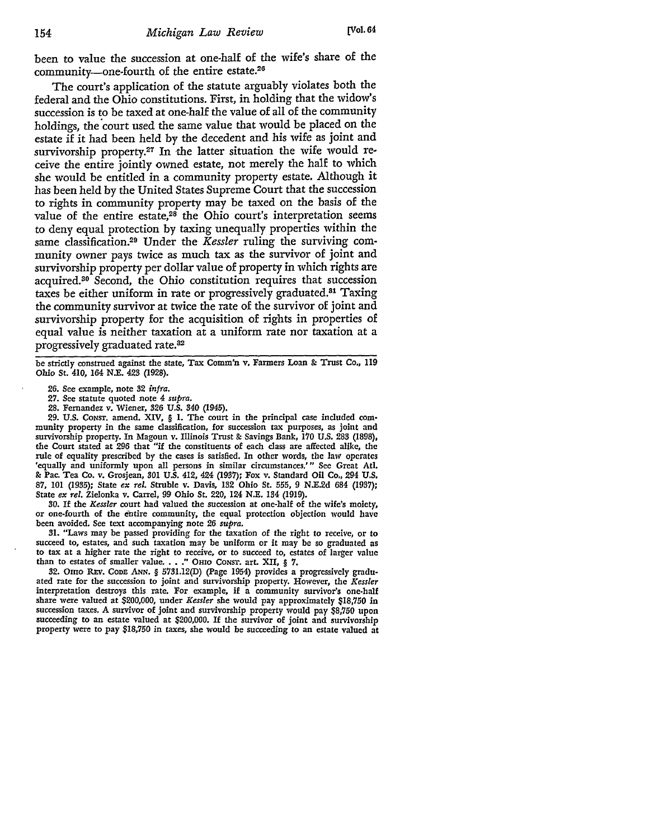been to value the succession at one-half of the wife's share of the community-one-fourth of the entire estate.<sup>26</sup>

The court's application of the statute arguably violates both the federal and the Ohio constitutions. First, in holding that the widow's succession is to be taxed at one-half the value of all of the community holdings, the court used the same value that would be placed on the estate if it had been held by the decedent and his wife as joint and survivorship property.<sup>27</sup> In the latter situation the wife would receive the entire jointly owned estate, not merely the half to which she would be entitled in a community property estate. Although it has been held by the United States Supreme Court that the succession to rights in community property may be taxed on the basis of the value of the entire estate, $28$  the Ohio court's interpretation seems to deny equal protection by taxing unequally properties within the same classification.29 Under the *Kessler* ruling the surviving community owner pays twice as much tax as the survivor of joint and survivorship property per dollar value of property in which rights are acquired.30 Second, the Ohio constitution requires that succession taxes be either uniform in rate or progressively graduated.31 Taxing the community survivor at twice the rate of the survivor of joint and survivorship property for the acquisition of rights in properties of equal value is neither taxation at a uniform rate nor taxation at a progressively graduated rate.<sup>32</sup>

be strictly construed against the state, Tax Comm'n v. Farmers Loan &: Trust Co,, 119 Ohio St. 410, 164 N.E. 423 (1928).

- 27. See statute quoted note 4 *supra.*
- 28. Fernandez v. Wiener, 326 U.S. 340 (1945).

29. U.S. CoNST. amend. XIV, § I. The court in the principal case included community property in the same classification, for succession tax purposes, as joint and survivorship property. In Magoun v. Illinois Trust & Savings Bank, 170 U.S. 283 (1898), the Court stated at 296 that "if the constituents of each class are affected alike, the rule of equality prescribed by the cases is satisfied. In other words, the law operates 'equally and uniformly upon all persons in similar circumstances.'" See Great Atl. &: Pac. Tea Co. v. Grosjean, 301 U.S. 412, 424 (1937); Fox v. Standard Oil Co,, 294 U.S. 87, 101 (1935); State *ex rel.* Struble v. Davis, 132 Ohio St. 555, 9 N.E.2d 684 (1937); State *ex rel.* Zielonka v. Carrel, 99 Ohio St. 220, 124 N.E. 134 (1919).

30. If the *Kessler* court had valued the succession at one-half of the wife's moiety, or one-fourth of the entire community, the equal protection objection would have been avoided, See text accompanying note 26 *supra.* 

31. "Laws may be passed providing for the taxation of the right to receive, or to succeed to, estates, and such taxation may be uniform or it may be so graduated as to tax at a higher rate the right to receive, or to succeed to, estates of larger value than *to* estates of smaller value ••• ," OHIO CONST. art. XII, § 7.

32. Omo REv. CODE ANN. § 5731.12(D) (Page 1954) provides a progressively graduated rate for the succession to joint and survivorship property. However, the *Kessler*  interpretation destroys this rate. For example, if a community survivor's one-half share were valued at \$200,000, under *Kessler* she would pay approximately \$18,750 in succession taxes. A survivor of joint and survivorship property would pay \$8,750 upon succeeding to an estate valued at \$200,000. If the survivor of joint and survivorship property were *to* pay \$18,750 in taxes, she would be succeeding to an estate valued at

<sup>26.</sup> See example, note 32 *infra.*